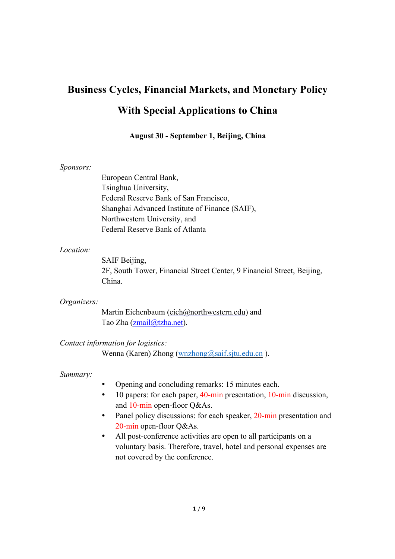# **Business Cycles, Financial Markets, and Monetary Policy With Special Applications to China**

#### **August 30 - September 1, Beijing, China**

#### *Sponsors:*

European Central Bank, Tsinghua University, Federal Reserve Bank of San Francisco, Shanghai Advanced Institute of Finance (SAIF), Northwestern University, and Federal Reserve Bank of Atlanta

#### *Location:*

SAIF Beijing, 2F, South Tower, Financial Street Center, 9 Financial Street, Beijing, China.

*Organizers:*

Martin Eichenbaum (eich@northwestern.edu) and Tao Zha (zmail@tzha.net).

#### *Contact information for logistics:*

Wenna (Karen) Zhong (wnzhong@saif.sjtu.edu.cn).

#### *Summary:*

- Opening and concluding remarks: 15 minutes each.
- 10 papers: for each paper, 40-min presentation, 10-min discussion, and 10-min open-floor Q&As.
- Panel policy discussions: for each speaker, 20-min presentation and 20-min open-floor Q&As.
- All post-conference activities are open to all participants on a voluntary basis. Therefore, travel, hotel and personal expenses are not covered by the conference.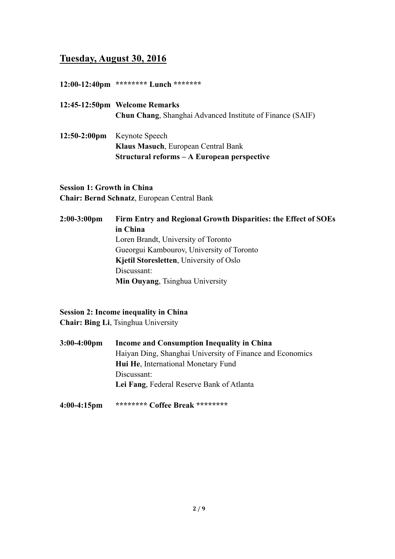## **Tuesday, August 30, 2016**

#### **12:00-12:40pm \*\*\*\*\*\*\*\* Lunch \*\*\*\*\*\*\***

- **12:45-12:50pm Welcome Remarks Chun Chang**, Shanghai Advanced Institute of Finance (SAIF)
- **12:50-2:00pm** Keynote Speech **Klaus Masuch**, European Central Bank **Structural reforms – A European perspective**

## **Session 1: Growth in China**

**Chair: Bernd Schnatz**, European Central Bank

## **2:00-3:00pm Firm Entry and Regional Growth Disparities: the Effect of SOEs in China**  Loren Brandt, University of Toronto Gueorgui Kambourov, University of Toronto **Kjetil Storesletten**, University of Oslo Discussant: **Min Ouyang**, Tsinghua University

## **Session 2: Income inequality in China**

**Chair: Bing Li**, Tsinghua University

**3:00-4:00pm Income and Consumption Inequality in China** Haiyan Ding, Shanghai University of Finance and Economics **Hui He**, International Monetary Fund Discussant: **Lei Fang**, Federal Reserve Bank of Atlanta

#### **4:00-4:15pm \*\*\*\*\*\*\*\* Coffee Break \*\*\*\*\*\*\*\***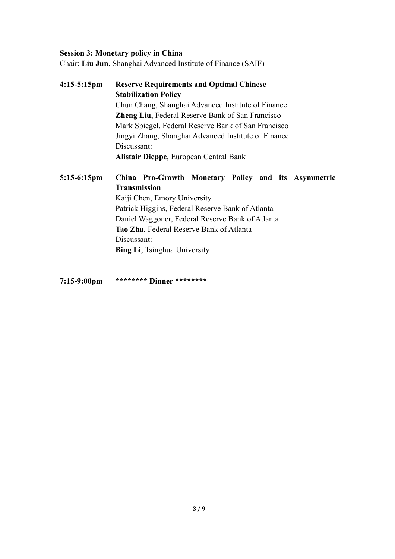#### **Session 3: Monetary policy in China**

Chair: **Liu Jun**, Shanghai Advanced Institute of Finance (SAIF)

**4:15-5:15pm Reserve Requirements and Optimal Chinese Stabilization Policy** Chun Chang, Shanghai Advanced Institute of Finance **Zheng Liu**, Federal Reserve Bank of San Francisco Mark Spiegel, Federal Reserve Bank of San Francisco Jingyi Zhang, Shanghai Advanced Institute of Finance Discussant: **Alistair Dieppe**, European Central Bank **5:15-6:15pm China Pro-Growth Monetary Policy and its Asymmetric Transmission** Kaiji Chen, Emory University Patrick Higgins, Federal Reserve Bank of Atlanta Daniel Waggoner, Federal Reserve Bank of Atlanta

**Tao Zha**, Federal Reserve Bank of Atlanta

Discussant:

**Bing Li**, Tsinghua University

**7:15-9:00pm \*\*\*\*\*\*\*\* Dinner \*\*\*\*\*\*\*\***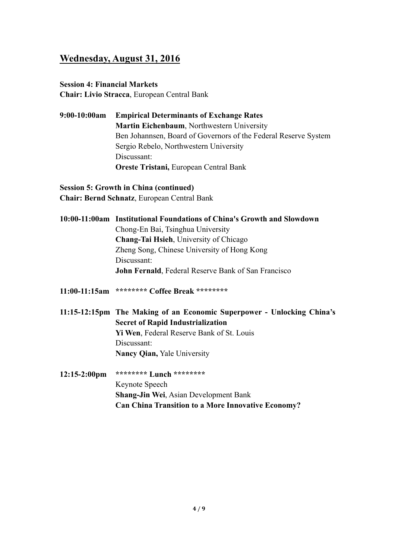## **Wednesday, August 31, 2016**

#### **Session 4: Financial Markets**

**Chair: Livio Stracca**, European Central Bank

**9:00-10:00am Empirical Determinants of Exchange Rates Martin Eichenbaum**, Northwestern University Ben Johannsen, Board of Governors of the Federal Reserve System Sergio Rebelo, Northwestern University Discussant: **Oreste Tristani,** European Central Bank

**Session 5: Growth in China (continued) Chair: Bernd Schnatz**, European Central Bank

|                                               | 10:00-11:00am Institutional Foundations of China's Growth and Slowdown |  |
|-----------------------------------------------|------------------------------------------------------------------------|--|
|                                               | Chong-En Bai, Tsinghua University                                      |  |
| <b>Chang-Tai Hsieh, University of Chicago</b> |                                                                        |  |
|                                               | Zheng Song, Chinese University of Hong Kong                            |  |
|                                               | Discussant:                                                            |  |
|                                               | John Fernald, Federal Reserve Bank of San Francisco                    |  |
|                                               |                                                                        |  |

- **11:00-11:15am \*\*\*\*\*\*\*\* Coffee Break \*\*\*\*\*\*\*\***
- **11:15-12:15pm The Making of an Economic Superpower - Unlocking China's Secret of Rapid Industrialization Yi Wen**, Federal Reserve Bank of St. Louis Discussant: **Nancy Qian,** Yale University
- **12:15-2:00pm \*\*\*\*\*\*\*\* Lunch \*\*\*\*\*\*\*\*** Keynote Speech **Shang-Jin Wei**, Asian Development Bank **Can China Transition to a More Innovative Economy?**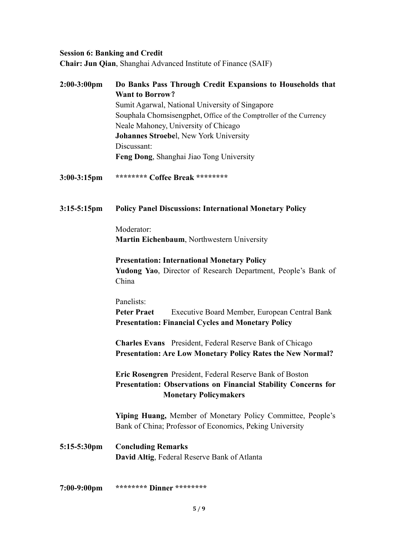## **Session 6: Banking and Credit**

**Chair: Jun Qian**, Shanghai Advanced Institute of Finance (SAIF)

| $2:00-3:00$ pm | Do Banks Pass Through Credit Expansions to Households that<br><b>Want to Borrow?</b>                                                                              |  |  |
|----------------|-------------------------------------------------------------------------------------------------------------------------------------------------------------------|--|--|
|                | Sumit Agarwal, National University of Singapore                                                                                                                   |  |  |
|                | Souphala Chomsisengphet, Office of the Comptroller of the Currency                                                                                                |  |  |
|                |                                                                                                                                                                   |  |  |
|                | Neale Mahoney, University of Chicago                                                                                                                              |  |  |
|                | <b>Johannes Stroebel, New York University</b>                                                                                                                     |  |  |
|                | Discussant:                                                                                                                                                       |  |  |
|                | Feng Dong, Shanghai Jiao Tong University                                                                                                                          |  |  |
| $3:00-3:15$ pm | ******** Coffee Break ********                                                                                                                                    |  |  |
| $3:15-5:15$ pm | <b>Policy Panel Discussions: International Monetary Policy</b>                                                                                                    |  |  |
|                | Moderator:                                                                                                                                                        |  |  |
|                |                                                                                                                                                                   |  |  |
|                | Martin Eichenbaum, Northwestern University                                                                                                                        |  |  |
|                | <b>Presentation: International Monetary Policy</b>                                                                                                                |  |  |
|                | Yudong Yao, Director of Research Department, People's Bank of                                                                                                     |  |  |
|                | China                                                                                                                                                             |  |  |
|                |                                                                                                                                                                   |  |  |
|                | Panelists:                                                                                                                                                        |  |  |
|                | <b>Peter Praet</b><br>Executive Board Member, European Central Bank                                                                                               |  |  |
|                | <b>Presentation: Financial Cycles and Monetary Policy</b>                                                                                                         |  |  |
|                | <b>Charles Evans</b> President, Federal Reserve Bank of Chicago                                                                                                   |  |  |
|                | Presentation: Are Low Monetary Policy Rates the New Normal?                                                                                                       |  |  |
|                |                                                                                                                                                                   |  |  |
|                | Eric Rosengren President, Federal Reserve Bank of Boston<br><b>Presentation: Observations on Financial Stability Concerns for</b><br><b>Monetary Policymakers</b> |  |  |
|                |                                                                                                                                                                   |  |  |
|                |                                                                                                                                                                   |  |  |
|                | Yiping Huang, Member of Monetary Policy Committee, People's                                                                                                       |  |  |
|                | Bank of China; Professor of Economics, Peking University                                                                                                          |  |  |
|                |                                                                                                                                                                   |  |  |
| 5:15-5:30pm    | <b>Concluding Remarks</b>                                                                                                                                         |  |  |
|                | David Altig, Federal Reserve Bank of Atlanta                                                                                                                      |  |  |
|                |                                                                                                                                                                   |  |  |
|                |                                                                                                                                                                   |  |  |
| $7:00-9:00$ pm | ******** Dinner *********                                                                                                                                         |  |  |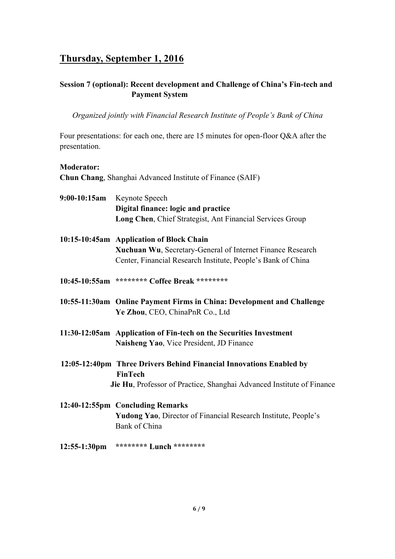## **Thursday, September 1, 2016**

## **Session 7 (optional): Recent development and Challenge of China's Fin-tech and Payment System**

*Organized jointly with Financial Research Institute of People's Bank of China*

Four presentations: for each one, there are 15 minutes for open-floor Q&A after the presentation.

#### **Moderator:**

**Chun Chang**, Shanghai Advanced Institute of Finance (SAIF)

| 9:00-10:15am Keynote Speech                                                                                    |  |
|----------------------------------------------------------------------------------------------------------------|--|
| Digital finance: logic and practice                                                                            |  |
| Long Chen, Chief Strategist, Ant Financial Services Group                                                      |  |
| 10:15-10:45am Application of Block Chain                                                                       |  |
| Xuchuan Wu, Secretary-General of Internet Finance Research                                                     |  |
| Center, Financial Research Institute, People's Bank of China                                                   |  |
| 10:45-10:55am ******** Coffee Break *********                                                                  |  |
| 10:55-11:30am Online Payment Firms in China: Development and Challenge<br>Ye Zhou, CEO, ChinaPnR Co., Ltd      |  |
| 11:30-12:05am Application of Fin-tech on the Securities Investment<br>Naisheng Yao, Vice President, JD Finance |  |
| 12:05-12:40pm Three Drivers Behind Financial Innovations Enabled by<br><b>FinTech</b>                          |  |
| Jie Hu, Professor of Practice, Shanghai Advanced Institute of Finance                                          |  |
| 12:40-12:55pm Concluding Remarks                                                                               |  |
| <b>Yudong Yao</b> , Director of Financial Research Institute, People's                                         |  |
| Bank of China                                                                                                  |  |
| 12:55-1:30pm ******** Lunch ********                                                                           |  |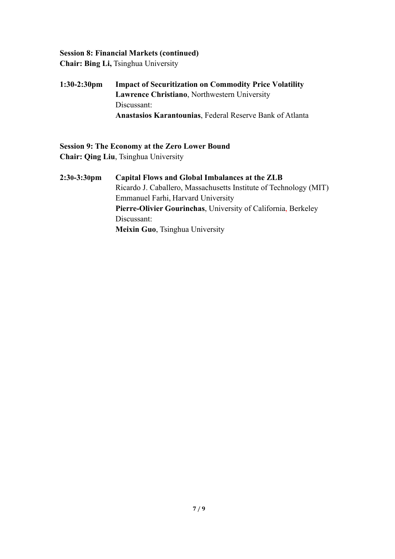## **Session 8: Financial Markets (continued)**

**Chair: Bing Li,** Tsinghua University

**1:30-2:30pm Impact of Securitization on Commodity Price Volatility Lawrence Christiano**, Northwestern University Discussant: **Anastasios Karantounias**, Federal Reserve Bank of Atlanta

## **Session 9: The Economy at the Zero Lower Bound Chair: Qing Liu**, Tsinghua University

**2:30-3:30pm Capital Flows and Global Imbalances at the ZLB** Ricardo J. Caballero, Massachusetts Institute of Technology (MIT) Emmanuel Farhi, Harvard University **Pierre-Olivier Gourinchas**, University of California, Berkeley Discussant: **Meixin Guo**, Tsinghua University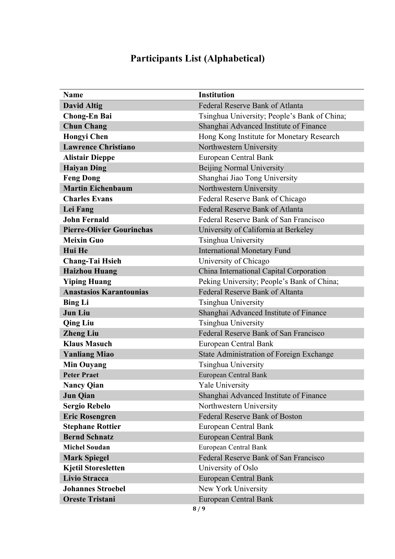# **Participants List (Alphabetical)**

| <b>Name</b>                      | <b>Institution</b>                           |
|----------------------------------|----------------------------------------------|
| <b>David Altig</b>               | <b>Federal Reserve Bank of Atlanta</b>       |
| <b>Chong-En Bai</b>              | Tsinghua University; People's Bank of China; |
| <b>Chun Chang</b>                | Shanghai Advanced Institute of Finance       |
| <b>Hongyi Chen</b>               | Hong Kong Institute for Monetary Research    |
| <b>Lawrence Christiano</b>       | Northwestern University                      |
| <b>Alistair Dieppe</b>           | European Central Bank                        |
| <b>Haiyan Ding</b>               | <b>Beijing Normal University</b>             |
| <b>Feng Dong</b>                 | Shanghai Jiao Tong University                |
| <b>Martin Eichenbaum</b>         | Northwestern University                      |
| <b>Charles Evans</b>             | Federal Reserve Bank of Chicago              |
| Lei Fang                         | Federal Reserve Bank of Atlanta              |
| <b>John Fernald</b>              | Federal Reserve Bank of San Francisco        |
| <b>Pierre-Olivier Gourinchas</b> | University of California at Berkeley         |
| <b>Meixin Guo</b>                | Tsinghua University                          |
| Hui He                           | <b>International Monetary Fund</b>           |
| <b>Chang-Tai Hsieh</b>           | University of Chicago                        |
| <b>Haizhou Huang</b>             | China International Capital Corporation      |
| <b>Yiping Huang</b>              | Peking University; People's Bank of China;   |
| <b>Anastasios Karantounias</b>   | <b>Federal Reserve Bank of Altanta</b>       |
| <b>Bing Li</b>                   | Tsinghua University                          |
| <b>Jun Liu</b>                   | Shanghai Advanced Institute of Finance       |
| <b>Qing Liu</b>                  | Tsinghua University                          |
| <b>Zheng Liu</b>                 | Federal Reserve Bank of San Francisco        |
| <b>Klaus Masuch</b>              | European Central Bank                        |
| <b>Yanliang Miao</b>             | State Administration of Foreign Exchange     |
| <b>Min Ouyang</b>                | Tsinghua University                          |
| <b>Peter Praet</b>               | <b>European Central Bank</b>                 |
| <b>Nancy Qian</b>                | <b>Yale University</b>                       |
| <b>Jun Qian</b>                  | Shanghai Advanced Institute of Finance       |
| <b>Sergio Rebelo</b>             | Northwestern University                      |
| <b>Eric Rosengren</b>            | Federal Reserve Bank of Boston               |
| <b>Stephane Rottier</b>          | European Central Bank                        |
| <b>Bernd Schnatz</b>             | <b>European Central Bank</b>                 |
| <b>Michel Soudan</b>             | European Central Bank                        |
| <b>Mark Spiegel</b>              | Federal Reserve Bank of San Francisco        |
| <b>Kjetil Storesletten</b>       | University of Oslo                           |
| <b>Livio Stracca</b>             | European Central Bank                        |
| <b>Johannes Stroebel</b>         | New York University                          |
| <b>Oreste Tristani</b>           | <b>European Central Bank</b>                 |